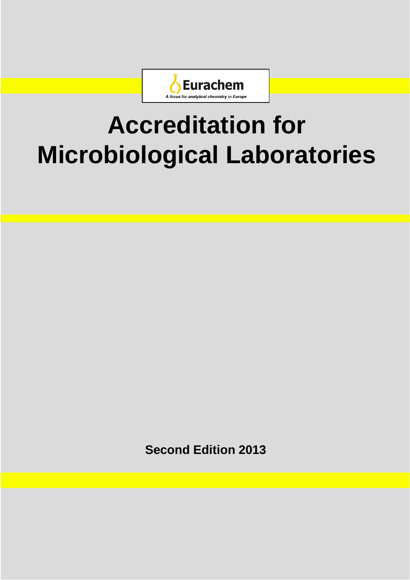

# **Accreditation for Microbiological Laboratories**

**Second Edition 2013**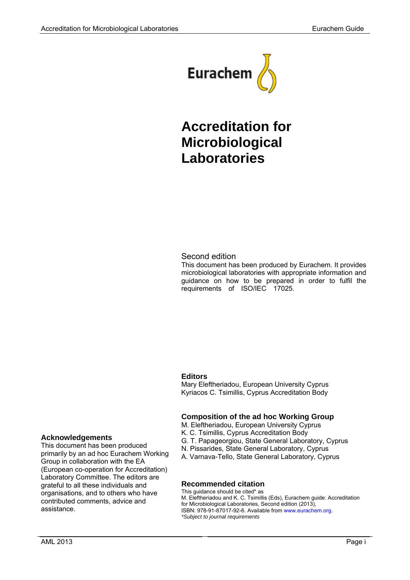

# **Accreditation for Microbiological Laboratories**

#### Second edition

This document has been produced by Eurachem. It provides microbiological laboratories with appropriate information and guidance on how to be prepared in order to fulfil the requirements of ISO/IEC 17025.

#### **Editors**

Mary Eleftheriadou, European University Cyprus Kyriacos C. Tsimillis, Cyprus Accreditation Body

#### **Composition of the ad hoc Working Group**

- M. Eleftheriadou, European University Cyprus
- K. C. Tsimillis, Cyprus Accreditation Body
- G. T. Papageorgiou, State General Laboratory, Cyprus
- N. Pissarides, State General Laboratory, Cyprus
- A. Varnava-Tello, State General Laboratory, Cyprus

#### **Recommended citation**

This guidance should be cited\* as M. Eleftheriadou and K. C. Tsimillis (Eds), Eurachem guide: Accreditation for Microbiological Laboratories, Second edition (2013), ISBN: 978-91-87017-92-6. Available from www.eurachem.org. *\*Subject to journal requirements*

#### **Acknowledgements**

This document has been produced primarily by an ad hoc Eurachem Working Group in collaboration with the EA (European co-operation for Accreditation) Laboratory Committee. The editors are grateful to all these individuals and organisations, and to others who have contributed comments, advice and assistance.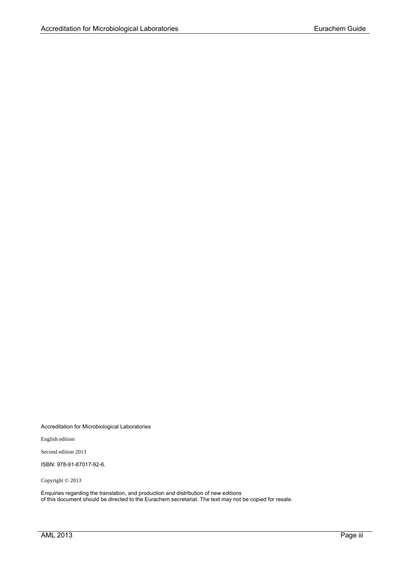Accreditation for Microbiological Laboratories

English edition

Second edition 2013

ISBN: 978-91-87017-92-6.

Copyright © 2013

Enquiries regarding the translation, and production and distribution of new editions of this document should be directed to the Eurachem secretariat. The text may not be copied for resale.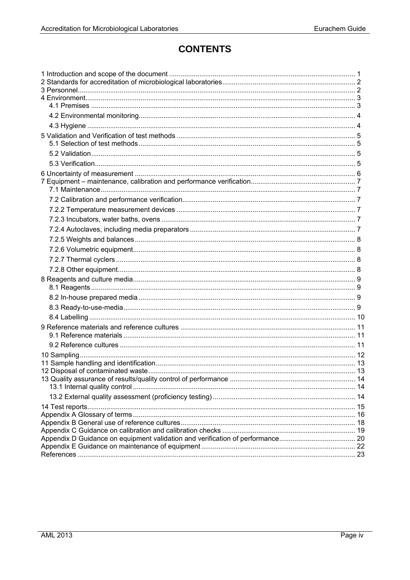# **CONTENTS**

| Appendix D Guidance on equipment validation and verification of performance 20 |  |
|--------------------------------------------------------------------------------|--|
|                                                                                |  |
|                                                                                |  |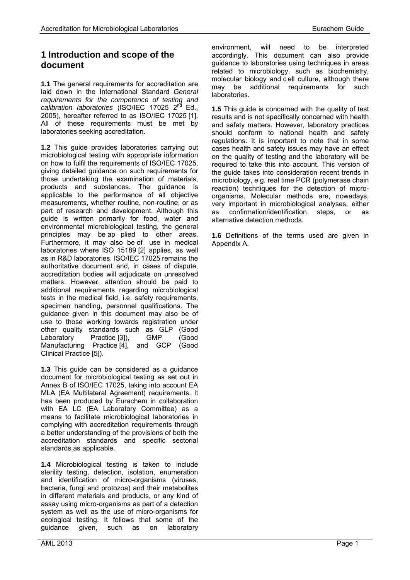# <span id="page-6-0"></span>**1 Introduction and scope of the document**

**1.1** The general requirements for accreditation are laid down in the International Standard *General requirements for the competence of testing and calibration laboratories* (ISO/IEC 17025 2nd Ed., 2005), hereafter referred to as ISO/IEC 17025 [1]. All of these requirements must be met by laboratories seeking accreditation.

**1.2** This guide provides laboratories carrying out microbiological testing with appropriate information on how to fulfil the requirements of ISO/IEC 17025, giving detailed guidance on such requirements for those undertaking the examination of materials, products and substances. The guidance is applicable to the performance of all objective measurements, whether routine, non-routine, or as part of research and development. Although this guide is written primarily for food, water and environmental microbiological testing, the general principles may be ap plied to other areas. Furthermore, it may also be of use in medical laboratories where ISO 15189 [2] applies, as well as in R&D laboratories. ISO/IEC 17025 remains the authoritative document and, in cases of dispute, accreditation bodies will adjudicate on unresolved matters. However, attention should be paid to additional requirements regarding microbiological tests in the medical field, i.e. safety requirements, specimen handling, personnel qualifications. The guidance given in this document may also be of use to those working towards registration under other quality standards such as GLP (Good<br>Laboratory Practice [3]), GMP (Good Laboratory Practice [3]), GMP (Good Manufacturing Practice [4], and GCP (Good Clinical Practice [5]).

**1.3** This guide can be considered as a guidance document for microbiological testing as set out in Annex B of ISO/IEC 17025, taking into account EA MLA (EA Multilateral Agreement) requirements. It has been produced by Eurachem in collaboration with EA LC (EA Laboratory Committee) as a means to facilitate microbiological laboratories in complying with accreditation requirements through a better understanding of the provisions of both the accreditation standards and specific sectorial standards as applicable.

**1.4** Microbiological testing is taken to include sterility testing, detection, isolation, enumeration and identification of micro-organisms (viruses, bacteria, fungi and protozoa) and their metabolites in different materials and products, or any kind of assay using micro-organisms as part of a detection system as well as the use of micro-organisms for ecological testing. It follows that some of the guidance given, such as on laboratory

environment, will need to be interpreted accordingly. This document can also provide guidance to laboratories using techniques in areas related to microbiology, such as biochemistry, molecular biology and c ell culture, although there may be additional requirements for such laboratories.

**1.5** This guide is concerned with the quality of test results and is not specifically concerned with health and safety matters. However, laboratory practices should conform to national health and safety regulations. It is important to note that in some cases health and safety issues may have an effect on the quality of testing and the laboratory will be required to take this into account. This version of the guide takes into consideration recent trends in microbiology, e.g. real time PCR (polymerase chain reaction) techniques for the detection of microorganisms. Molecular methods are, nowadays, very important in microbiological analyses, either as confirmation/identification steps, or as alternative detection methods.

**1.6** Definitions of the terms used are given in Appendix A.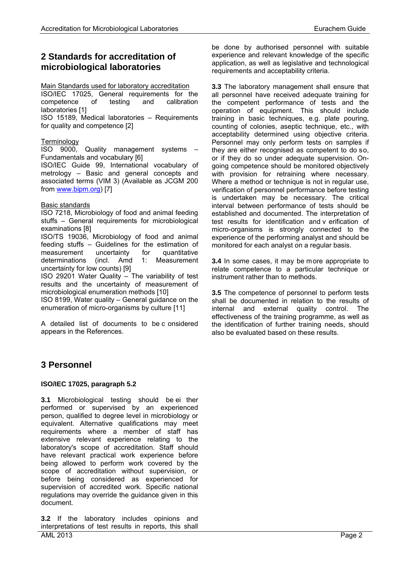# <span id="page-7-0"></span>**2 Standards for accreditation of microbiological laboratories**

#### Main Standards used for laboratory accreditation

ISO/IEC 17025, General requirements for the competence of testing and calibration laboratories [1]

ISO 15189, Medical laboratories – Requirements for quality and competence [2]

#### **Terminology**

ISO 9000, Quality management systems – Fundamentals and vocabulary [6]

ISO/IEC Guide 99, International vocabulary of metrology – Basic and general concepts and associated terms (VIM 3) (Available as JCGM 200 from [www.bipm.org\)](http://www.bipm.org/) [7]

#### Basic standards

ISO 7218, Microbiology of food and animal feeding stuffs – General requirements for microbiological examinations [8]

ISO/TS 19036, Microbiology of food and animal feeding stuffs – Guidelines for the estimation of measurement determinations (incl. Amd 1: Measurement uncertainty for low counts) [9]

ISO 29201 Water Quality – The variability of test results and the uncertainty of measurement of microbiological enumeration methods [10]

ISO 8199, Water quality – General guidance on the enumeration of micro-organisms by culture [11]

A detailed list of documents to be c onsidered appears in the References.

be done by authorised personnel with suitable experience and relevant knowledge of the specific application, as well as legislative and technological requirements and acceptability criteria.

**3.3** The laboratory management shall ensure that all personnel have received adequate training for the competent performance of tests and the operation of equipment. This should include training in basic techniques, e.g. plate pouring, counting of colonies, aseptic technique, etc., with acceptability determined using objective criteria. Personnel may only perform tests on samples if they are either recognised as competent to do so, or if they do so under adequate supervision. Ongoing competence should be monitored objectively with provision for retraining where necessary. Where a method or technique is not in regular use, verification of personnel performance before testing is undertaken may be necessary. The critical interval between performance of tests should be established and documented. The interpretation of test results for identification and v erification of micro-organisms is strongly connected to the experience of the performing analyst and should be monitored for each analyst on a regular basis.

**3.4** In some cases, it may be more appropriate to relate competence to a particular technique or instrument rather than to methods.

**3.5** The competence of personnel to perform tests shall be documented in relation to the results of internal and external quality control. The effectiveness of the training programme, as well as the identification of further training needs, should also be evaluated based on these results.

# <span id="page-7-1"></span>**3 Personnel**

#### **ISO/IEC 17025, paragraph 5.2**

**3.1** Microbiological testing should be ei ther performed or supervised by an experienced person, qualified to degree level in microbiology or equivalent. Alternative qualifications may meet requirements where a member of staff has extensive relevant experience relating to the laboratory's scope of accreditation. Staff should have relevant practical work experience before being allowed to perform work covered by the scope of accreditation without supervision, or before being considered as experienced for supervision of accredited work. Specific national regulations may override the guidance given in this document.

AML 2013 Page 2 **3.2** If the laboratory includes opinions and interpretations of test results in reports, this shall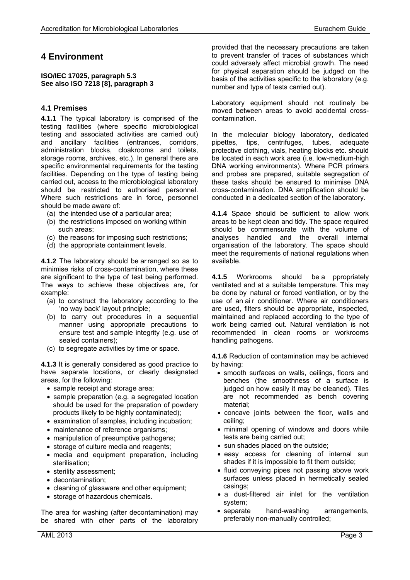## <span id="page-8-0"></span>**4 Environment**

**ISO/IEC 17025, paragraph 5.3 See also ISO 7218 [\[8\]](#page-28-1), paragraph 3**

#### <span id="page-8-1"></span>**4.1 Premises**

**4.1.1** The typical laboratory is comprised of the testing facilities (where specific microbiological testing and associated activities are carried out) and ancillary facilities (entrances, corridors, administration blocks, cloakrooms and toilets, storage rooms, archives, etc.). In general there are specific environmental requirements for the testing facilities. Depending on t he type of testing being carried out, access to the microbiological laboratory should be restricted to authorised personnel. Where such restrictions are in force, personnel should be made aware of:

- (a) the intended use of a particular area;
- (b) the restrictions imposed on working within such areas;
- (c) the reasons for imposing such restrictions;
- (d) the appropriate containment levels.

**4.1.2** The laboratory should be ar ranged so as to minimise risks of cross-contamination, where these are significant to the type of test being performed. The ways to achieve these objectives are, for example:

- (a) to construct the laboratory according to the 'no way back' layout principle;
- (b) to carry out procedures in a sequential manner using appropriate precautions to ensure test and sample integrity (e.g. use of sealed containers);
- (c) to segregate activities by time or space.

**4.1.3** It is generally considered as good practice to have separate locations, or clearly designated areas, for the following:

- sample receipt and storage area;
- sample preparation (e.g. a segregated location should be used for the preparation of powdery products likely to be highly contaminated);
- examination of samples, including incubation;
- maintenance of reference organisms;
- manipulation of presumptive pathogens;
- storage of culture media and reagents:
- media and equipment preparation, including sterilisation;
- sterility assessment:
- decontamination;
- cleaning of glassware and other equipment;
- storage of hazardous chemicals.

The area for washing (after decontamination) may be shared with other parts of the laboratory provided that the necessary precautions are taken to prevent transfer of traces of substances which could adversely affect microbial growth. The need for physical separation should be judged on the basis of the activities specific to the laboratory (e.g. number and type of tests carried out).

Laboratory equipment should not routinely be moved between areas to avoid accidental crosscontamination.

In the molecular biology laboratory, dedicated pipettes, tips, centrifuges, tubes, adequate protective clothing, vials, heating blocks etc. should be located in each work area (i.e. low-medium-high DNA working environments). Where PCR primers and probes are prepared, suitable segregation of these tasks should be ensured to minimise DNA cross-contamination. DNA amplification should be conducted in a dedicated section of the laboratory.

**4.1.4** Space should be sufficient to allow work areas to be kept clean and tidy. The space required should be commensurate with the volume of analyses handled and the overall internal organisation of the laboratory. The space should meet the requirements of national regulations when available.

**4.1.5** Workrooms should be a ppropriately ventilated and at a suitable temperature. This may be done by natural or forced ventilation, or by the use of an ai r conditioner. Where air conditioners are used, filters should be appropriate, inspected, maintained and replaced according to the type of work being carried out. Natural ventilation is not recommended in clean rooms or workrooms handling pathogens.

**4.1.6** Reduction of contamination may be achieved by having:

- smooth surfaces on walls, ceilings, floors and benches (the smoothness of a surface is judged on how easily it may be cleaned). Tiles are not recommended as bench covering material;
- concave joints between the floor, walls and ceiling;
- minimal opening of windows and doors while tests are being carried out;
- sun shades placed on the outside;
- easy access for cleaning of internal sun shades if it is impossible to fit them outside;
- fluid conveying pipes not passing above work surfaces unless placed in hermetically sealed casings;
- a dust-filtered air inlet for the ventilation system;
- separate hand-washing arrangements, preferably non-manually controlled;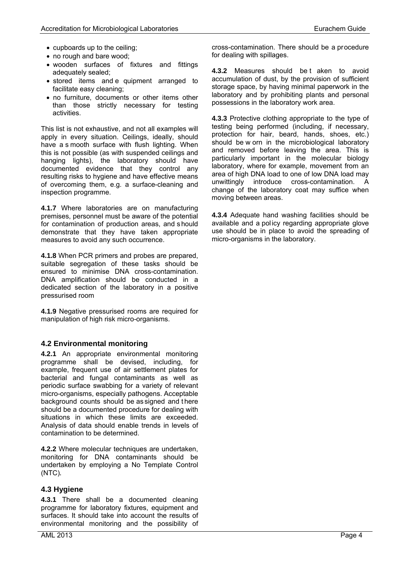- cupboards up to the ceiling;
- no rough and bare wood:
- wooden surfaces of fixtures and fittings adequately sealed;
- stored items and e quipment arranged to facilitate easy cleaning;
- no furniture, documents or other items other than those strictly necessary for testing activities.

This list is not exhaustive, and not all examples will apply in every situation. Ceilings, ideally, should have a s mooth surface with flush lighting. When this is not possible (as with suspended ceilings and hanging lights), the laboratory should have documented evidence that they control any resulting risks to hygiene and have effective means of overcoming them, e.g. a surface-cleaning and inspection programme.

**4.1.7** Where laboratories are on manufacturing premises, personnel must be aware of the potential for contamination of production areas, and s hould demonstrate that they have taken appropriate measures to avoid any such occurrence.

**4.1.8** When PCR primers and probes are prepared, suitable segregation of these tasks should be ensured to minimise DNA cross-contamination. DNA amplification should be conducted in a dedicated section of the laboratory in a positive pressurised room

**4.1.9** Negative pressurised rooms are required for manipulation of high risk micro-organisms.

#### <span id="page-9-0"></span>**4.2 Environmental monitoring**

**4.2.1** An appropriate environmental monitoring programme shall be devised, including, for example, frequent use of air settlement plates for bacterial and fungal contaminants as well as periodic surface swabbing for a variety of relevant micro-organisms, especially pathogens. Acceptable background counts should be as signed and there should be a documented procedure for dealing with situations in which these limits are exceeded. Analysis of data should enable trends in levels of contamination to be determined.

**4.2.2** Where molecular techniques are undertaken, monitoring for DNA contaminants should be undertaken by employing a No Template Control (NTC)**.**

#### <span id="page-9-1"></span>**4.3 Hygiene**

**4.3.1** There shall be a documented cleaning programme for laboratory fixtures, equipment and surfaces. It should take into account the results of environmental monitoring and the possibility of cross-contamination. There should be a procedure for dealing with spillages.

**4.3.2** Measures should be t aken to avoid accumulation of dust, by the provision of sufficient storage space, by having minimal paperwork in the laboratory and by prohibiting plants and personal possessions in the laboratory work area.

**4.3.3** Protective clothing appropriate to the type of testing being performed (including, if necessary, protection for hair, beard, hands, shoes, etc.) should be w orn in the microbiological laboratory and removed before leaving the area. This is particularly important in the molecular biology laboratory, where for example, movement from an area of high DNA load to one of low DNA load may<br>unwittingly introduce cross-contamination. A unwittingly introduce cross-contamination. change of the laboratory coat may suffice when moving between areas.

**4.3.4** Adequate hand washing facilities should be available and a policy regarding appropriate glove use should be in place to avoid the spreading of micro-organisms in the laboratory.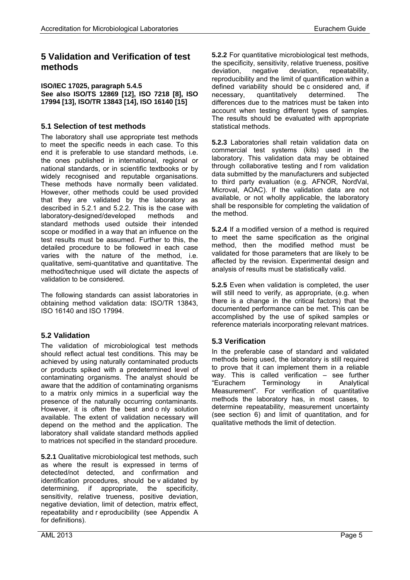# <span id="page-10-0"></span>**5 Validation and Verification of test methods**

**ISO/IEC 17025, paragraph 5.4.5 See also ISO/TS 12869 [12], ISO 7218 [8], ISO 17994 [13], ISO/TR 13843 [14], ISO 16140 [15]**

#### <span id="page-10-1"></span>**5.1 Selection of test methods**

The laboratory shall use appropriate test methods to meet the specific needs in each case. To this end it is preferable to use standard methods, i.e. the ones published in international, regional or national standards, or in scientific textbooks or by widely recognised and reputable organisations. These methods have normally been validated. However, other methods could be used provided that they are validated by the laboratory as described in 5.2.1 and 5.2.2. This is the case with laboratory-designed/developed methods and standard methods used outside their intended scope or modified in a way that an influence on the test results must be assumed. Further to this, the detailed procedure to be followed in each case varies with the nature of the method, i.e. qualitative, semi-quantitative and quantitative. The method/technique used will dictate the aspects of validation to be considered.

The following standards can assist laboratories in obtaining method validation data: ISO/TR 13843, ISO 16140 and ISO 17994.

#### <span id="page-10-2"></span>**5.2 Validation**

The validation of microbiological test methods should reflect actual test conditions. This may be achieved by using naturally contaminated products or products spiked with a predetermined level of contaminating organisms. The analyst should be aware that the addition of contaminating organisms to a matrix only mimics in a superficial way the presence of the naturally occurring contaminants. However, it is often the best and o nly solution available. The extent of validation necessary will depend on the method and the application. The laboratory shall validate standard methods applied to matrices not specified in the standard procedure.

**5.2.1** Qualitative microbiological test methods, such as where the result is expressed in terms of detected/not detected, and confirmation and identification procedures, should be v alidated by determining, if appropriate, the specificity, sensitivity, relative trueness, positive deviation, negative deviation, limit of detection, matrix effect, repeatability and r eproducibility (see Appendix A for definitions).

**5.2.2** For quantitative microbiological test methods, the specificity, sensitivity, relative trueness, positive deviation, negative deviation, repeatability, reproducibility and the limit of quantification within a defined variability should be c onsidered and, if<br>necessary, quantitatively determined. The necessary, quantitatively determined. The differences due to the matrices must be taken into account when testing different types of samples. The results should be evaluated with appropriate statistical methods.

**5.2.3** Laboratories shall retain validation data on commercial test systems (kits) used in the laboratory. This validation data may be obtained through collaborative testing and f rom validation data submitted by the manufacturers and subjected to third party evaluation (e.g. ΑFNOR, NordVal, Microval, AOAC). If the validation data are not available, or not wholly applicable, the laboratory shall be responsible for completing the validation of the method.

**5.2.4** If a modified version of a method is required to meet the same specification as the original method, then the modified method must be validated for those parameters that are likely to be affected by the revision. Experimental design and analysis of results must be statistically valid.

**5.2.5** Even when validation is completed, the user will still need to verify, as appropriate, (e.g. when there is a change in the critical factors) that the documented performance can be met. This can be accomplished by the use of spiked samples or reference materials incorporating relevant matrices.

#### <span id="page-10-3"></span>**5.3 Verification**

In the preferable case of standard and validated methods being used, the laboratory is still required to prove that it can implement them in a reliable way. This is called verification – see further "Eurachem Terminology in Analytical Measurement". For verification of quantitative methods the laboratory has, in most cases, to determine repeatability, measurement uncertainty (see section 6) and limit of quantitation, and for qualitative methods the limit of detection.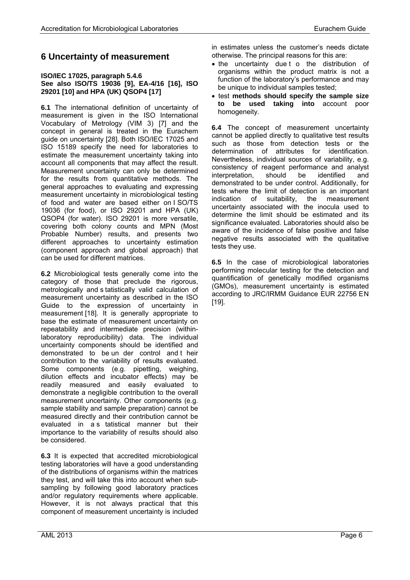### <span id="page-11-0"></span>**6 Uncertainty of measurement**

#### **ISO/IEC 17025, paragraph 5.4.6 See also ISO/TS 19036 [9], EA-4/16 [16], ISO 29201 [10] and HPA (UK) QSOP4 [17]**

**6.1** The international definition of uncertainty of measurement is given in the ISO International Vocabulary of Metrology (VIM 3) [7] and the concept in general is treated in the Eurachem guide on uncertainty [\[28\]](#page-28-2). Both ISO/IEC 17025 and ISO 15189 specify the need for laboratories to estimate the measurement uncertainty taking into account all components that may affect the result. Measurement uncertainty can only be determined for the results from quantitative methods. The general approaches to evaluating and expressing measurement uncertainty in microbiological testing of food and water are based either on I SO/TS 19036 (for food), or ISO 29201 and HPA (UK) QSOP4 (for water). ISO 29201 is more versatile, covering both colony counts and MPN (Most Probable Number) results, and presents two different approaches to uncertainty estimation (component approach and global approach) that can be used for different matrices.

**6.2** Microbiological tests generally come into the category of those that preclude the rigorous, metrologically and s tatistically valid calculation of measurement uncertainty as described in the ISO Guide to the expression of uncertainty in measurement [18]. It is generally appropriate to base the estimate of measurement uncertainty on repeatability and intermediate precision (withinlaboratory reproducibility) data. The individual uncertainty components should be identified and demonstrated to be un der control and t heir contribution to the variability of results evaluated. Some components (e.g. pipetting, weighing, dilution effects and incubator effects) may be readily measured and easily evaluated to demonstrate a negligible contribution to the overall measurement uncertainty. Other components (e.g. sample stability and sample preparation) cannot be measured directly and their contribution cannot be evaluated in a s tatistical manner but their importance to the variability of results should also be considered.

**6.3** It is expected that accredited microbiological testing laboratories will have a good understanding of the distributions of organisms within the matrices they test, and will take this into account when subsampling by following good laboratory practices and/or regulatory requirements where applicable. However, it is not always practical that this component of measurement uncertainty is included

in estimates unless the customer's needs dictate otherwise. The principal reasons for this are:

- the uncertainty due t o the distribution of organisms within the product matrix is not a function of the laboratory's performance and may be unique to individual samples tested;
- test **methods should specify the sample size to be used taking into** account poor homogeneity.

**6.4** The concept of measurement uncertainty cannot be applied directly to qualitative test results such as those from detection tests or the determination of attributes for identification. Nevertheless, individual sources of variability, e.g. consistency of reagent performance and analyst interpretation, should be identified and demonstrated to be under control. Additionally, for tests where the limit of detection is an important indication of suitability, the measurement uncertainty associated with the inocula used to determine the limit should be estimated and its significance evaluated. Laboratories should also be aware of the incidence of false positive and false negative results associated with the qualitative tests they use.

**6.5** In the case of microbiological laboratories performing molecular testing for the detection and quantification of genetically modified organisms (GMOs), measurement uncertainty is estimated according to JRC/IRMM Guidance EUR 22756 EN [19].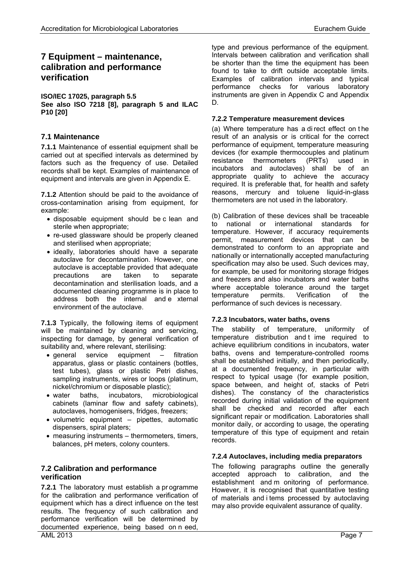# <span id="page-12-0"></span>**7 Equipment – maintenance, calibration and performance verification**

#### **ISO/IEC 17025, paragraph 5.5**

**See also ISO 7218 [8], paragraph 5 and ILAC P10 [20]**

#### <span id="page-12-1"></span>**7.1 Maintenance**

**7.1.1** Maintenance of essential equipment shall be carried out at specified intervals as determined by factors such as the frequency of use. Detailed records shall be kept. Examples of maintenance of equipment and intervals are given in Appendix E.

**7.1.2** Attention should be paid to the avoidance of cross-contamination arising from equipment, for example:

- disposable equipment should be c lean and sterile when appropriate;
- re-used glassware should be properly cleaned and sterilised when appropriate;
- ideally, laboratories should have a separate autoclave for decontamination. However, one autoclave is acceptable provided that adequate precautions are taken to separate decontamination and sterilisation loads, and a documented cleaning programme is in place to address both the internal and e xternal environment of the autoclave.

**7.1.3** Typically, the following items of equipment will be maintained by cleaning and servicing, inspecting for damage, by general verification of suitability and, where relevant, sterilising:

- general service equipment filtration apparatus, glass or plastic containers (bottles, test tubes), glass or plastic Petri dishes, sampling instruments, wires or loops (platinum, nickel/chromium or disposable plastic);
- water baths, incubators, microbiological cabinets (laminar flow and safety cabinets), autoclaves, homogenisers, fridges, freezers;
- volumetric equipment pipettes, automatic dispensers, spiral platers;
- measuring instruments thermometers, timers, balances, pH meters, colony counters.

#### <span id="page-12-2"></span>**7.2 Calibration and performance verification**

AML 2013 Page 7 **7.2.1** The laboratory must establish a pr ogramme for the calibration and performance verification of equipment which has a direct influence on the test results. The frequency of such calibration and performance verification will be determined by documented experience, being based on n eed,

type and previous performance of the equipment. Intervals between calibration and verification shall be shorter than the time the equipment has been found to take to drift outside acceptable limits. Examples of calibration intervals and typical performance checks for various laboratory instruments are given in Appendix C and Appendix D.

#### <span id="page-12-3"></span>**7.2.2 Temperature measurement devices**

(a) Where temperature has a di rect effect on t he result of an analysis or is critical for the correct performance of equipment, temperature measuring devices (for example thermocouples and platinum<br>resistance thermometers (PRTs) used in resistance thermometers (PRTs) used in incubators and autoclaves) shall be of an appropriate quality to achieve the accuracy required. It is preferable that, for health and safety reasons, mercury and toluene liquid-in-glass thermometers are not used in the laboratory.

(b) Calibration of these devices shall be traceable to national or international standards for temperature. However, if accuracy requirements permit, measurement devices that can be demonstrated to conform to an appropriate and nationally or internationally accepted manufacturing specification may also be used. Such devices may, for example, be used for monitoring storage fridges and freezers and also incubators and water baths where acceptable tolerance around the target temperature permits. Verification of the performance of such devices is necessary.

#### <span id="page-12-4"></span>**7.2.3 Incubators, water baths, ovens**

The stability of temperature, uniformity of temperature distribution and t ime required to achieve equilibrium conditions in incubators, water baths, ovens and temperature-controlled rooms shall be established initially, and then periodically, at a documented frequency, in particular with respect to typical usage (for example position, space between, and height of, stacks of Petri dishes). The constancy of the characteristics recorded during initial validation of the equipment shall be checked and recorded after each significant repair or modification. Laboratories shall monitor daily, or according to usage, the operating temperature of this type of equipment and retain records.

#### <span id="page-12-5"></span>**7.2.4 Autoclaves, including media preparators**

The following paragraphs outline the generally accepted approach to calibration, and the establishment and m onitoring of performance. However, it is recognised that quantitative testing of materials and i tems processed by autoclaving may also provide equivalent assurance of quality.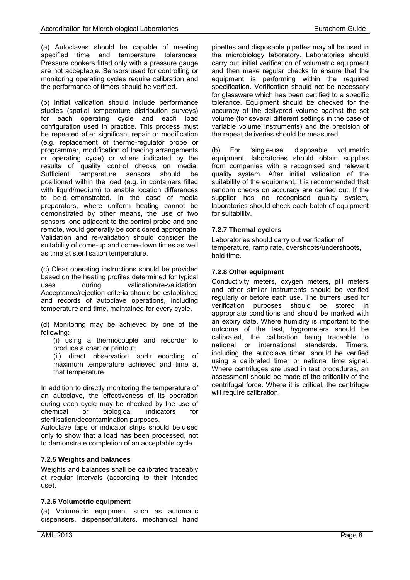(a) Autoclaves should be capable of meeting specified time and temperature tolerances. Pressure cookers fitted only with a pressure gauge are not acceptable. Sensors used for controlling or monitoring operating cycles require calibration and the performance of timers should be verified.

(b) Initial validation should include performance studies (spatial temperature distribution surveys) for each operating cycle and each load configuration used in practice. This process must be repeated after significant repair or modification (e.g. replacement of thermo-regulator probe or programmer, modification of loading arrangements or operating cycle) or where indicated by the results of quality control checks on media. Sufficient temperature sensors should be positioned within the load (e.g. in containers filled with liquid/medium) to enable location differences to be d emonstrated. In the case of media preparators, where uniform heating cannot be demonstrated by other means, the use of two sensors, one adjacent to the control probe and one remote, would generally be considered appropriate. Validation and re-validation should consider the suitability of come-up and come-down times as well as time at sterilisation temperature.

(c) Clear operating instructions should be provided based on the heating profiles determined for typical uses during validation/re-validation. Acceptance/rejection criteria should be established and records of autoclave operations, including temperature and time, maintained for every cycle.

(d) Monitoring may be achieved by one of the following:

(i) using a thermocouple and recorder to produce a chart or printout;

(ii) direct observation and r ecording of maximum temperature achieved and time at that temperature.

In addition to directly monitoring the temperature of an autoclave, the effectiveness of its operation during each cycle may be checked by the use of chemical or biological indicators sterilisation/decontamination purposes.

Autoclave tape or indicator strips should be u sed only to show that a load has been processed, not to demonstrate completion of an acceptable cycle.

#### <span id="page-13-0"></span>**7.2.5 Weights and balances**

Weights and balances shall be calibrated traceably at regular intervals (according to their intended use).

#### <span id="page-13-1"></span>**7.2.6 Volumetric equipment**

(a) Volumetric equipment such as automatic dispensers, dispenser/diluters, mechanical hand pipettes and disposable pipettes may all be used in the microbiology laboratory. Laboratories should carry out initial verification of volumetric equipment and then make regular checks to ensure that the equipment is performing within the required specification. Verification should not be necessary for glassware which has been certified to a specific tolerance. Equipment should be checked for the accuracy of the delivered volume against the set volume (for several different settings in the case of variable volume instruments) and the precision of the repeat deliveries should be measured.

(b) For 'single-use' disposable volumetric equipment, laboratories should obtain supplies from companies with a recognised and relevant quality system. After initial validation of the suitability of the equipment, it is recommended that random checks on accuracy are carried out. If the supplier has no recognised quality system, laboratories should check each batch of equipment for suitability.

#### <span id="page-13-2"></span>**7.2.7 Thermal cyclers**

Laboratories should carry out verification of temperature, ramp rate, overshoots/undershoots, hold time.

#### <span id="page-13-3"></span>**7.2.8 Other equipment**

Conductivity meters, oxygen meters, pH meters and other similar instruments should be verified regularly or before each use. The buffers used for verification purposes should be stored in appropriate conditions and should be marked with an expiry date. Where humidity is important to the outcome of the test, hygrometers should be calibrated, the calibration being traceable to national or international standards. Timers, including the autoclave timer, should be verified using a calibrated timer or national time signal. Where centrifuges are used in test procedures, an assessment should be made of the criticality of the centrifugal force. Where it is critical, the centrifuge will require calibration.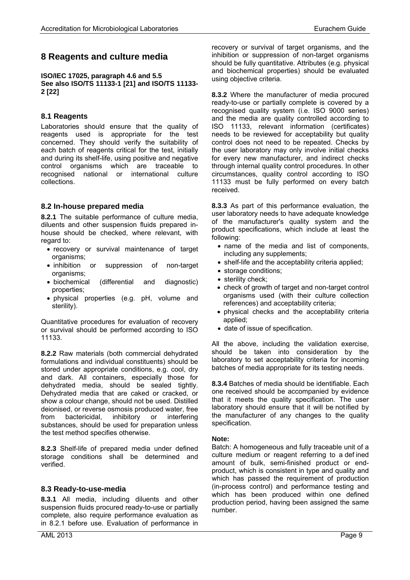## <span id="page-14-0"></span>**8 Reagents and culture media**

**ISO/IEC 17025, paragraph 4.6 and 5.5 See also ISO/TS 11133-1 [21] and ISO/TS 11133- 2 [22]**

#### <span id="page-14-1"></span>**8.1 Reagents**

Laboratories should ensure that the quality of reagents used is appropriate for the test concerned. They should verify the suitability of each batch of reagents critical for the test, initially and during its shelf-life, using positive and negative control organisms which are traceable to recognised national or international culture collections.

#### <span id="page-14-2"></span>**8.2 In-house prepared media**

**8.2.1** The suitable performance of culture media, diluents and other suspension fluids prepared inhouse should be checked, where relevant, with regard to:

- recovery or survival maintenance of target organisms;
- inhibition or suppression of non-target organisms;
- biochemical (differential and diagnostic) properties;
- physical properties (e.g. pH, volume and sterility).

Quantitative procedures for evaluation of recovery or survival should be performed according to ISO 11133.

**8.2.2** Raw materials (both commercial dehydrated formulations and individual constituents) should be stored under appropriate conditions, e.g. cool, dry and dark. All containers, especially those for dehydrated media, should be sealed tightly. Dehydrated media that are caked or cracked, or show a colour change, should not be used. Distilled deionised, or reverse osmosis produced water, free from bactericidal, inhibitory or interfering substances, should be used for preparation unless the test method specifies otherwise.

**8.2.3** Shelf-life of prepared media under defined storage conditions shall be determined and verified.

#### <span id="page-14-3"></span>**8.3 Ready-to-use-media**

**8.3.1** All media, including diluents and other suspension fluids procured ready-to-use or partially complete, also require performance evaluation as in 8.2.1 before use. Evaluation of performance in **8.3.2** Where the manufacturer of media procured ready-to-use or partially complete is covered by a recognised quality system (i.e. ISO 9000 series) and the media are quality controlled according to ISO 11133, relevant information (certificates) needs to be reviewed for acceptability but quality control does not need to be repeated. Checks by the user laboratory may only involve initial checks for every new manufacturer, and indirect checks through internal quality control procedures. In other circumstances, quality control according to ISO 11133 must be fully performed on every batch received.

**8.3.3** As part of this performance evaluation, the user laboratory needs to have adequate knowledge of the manufacturer's quality system and the product specifications, which include at least the following:

- name of the media and list of components, including any supplements;
- shelf-life and the acceptability criteria applied:
- storage conditions:
- sterility check;
- check of growth of target and non-target control organisms used (with their culture collection references) and acceptability criteria;
- physical checks and the acceptability criteria applied;
- date of issue of specification.

All the above, including the validation exercise, should be taken into consideration by the laboratory to set acceptability criteria for incoming batches of media appropriate for its testing needs.

**8.3.4** Batches of media should be identifiable. Each one received should be accompanied by evidence that it meets the quality specification. The user laboratory should ensure that it will be not ified by the manufacturer of any changes to the quality specification.

#### **Note:**

Batch: A homogeneous and fully traceable unit of a culture medium or reagent referring to a def ined amount of bulk, semi-finished product or endproduct, which is consistent in type and quality and which has passed the requirement of production (in-process control) and performance testing and which has been produced within one defined production period, having been assigned the same number.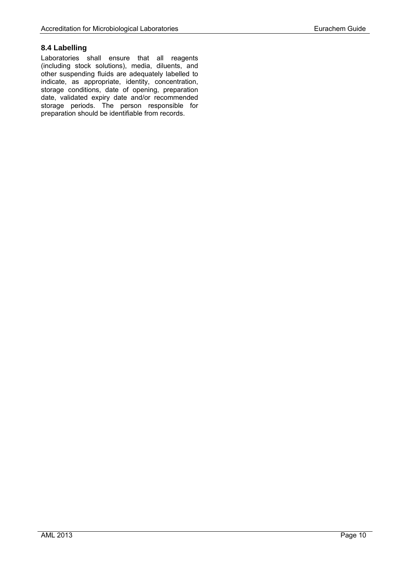#### <span id="page-15-0"></span>**8.4 Labelling**

Laboratories shall ensure that all reagents (including stock solutions), media, diluents, and other suspending fluids are adequately labelled to indicate, as appropriate, identity, concentration, storage conditions, date of opening, preparation date, validated expiry date and/or recommended storage periods. The person responsible for preparation should be identifiable from records.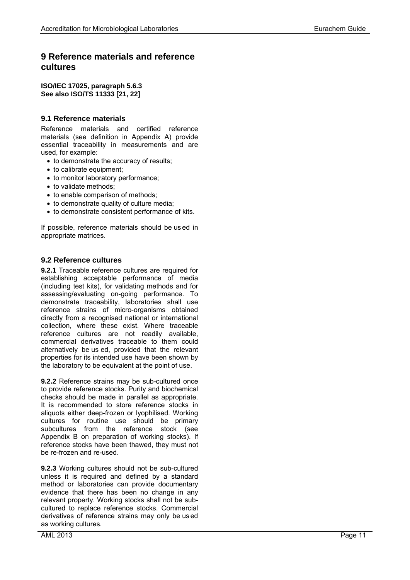# <span id="page-16-0"></span>**9 Reference materials and reference cultures**

#### **ISO/IEC 17025, paragraph 5.6.3 See also ISO/TS 11333 [21, 22]**

#### <span id="page-16-1"></span>**9.1 Reference materials**

Reference materials and certified reference materials (see definition in Appendix A) provide essential traceability in measurements and are used, for example:

- to demonstrate the accuracy of results;
- to calibrate equipment;
- to monitor laboratory performance:
- to validate methods;
- to enable comparison of methods ;
- to demonstrate quality of culture media:
- to demonstrate consistent performance of kits.

If possible, reference materials should be us ed in appropriate matrices.

#### <span id="page-16-2"></span>**9.2 Reference cultures**

**9.2.1** Traceable reference cultures are required for establishing acceptable performance of media (including test kits), for validating methods and for assessing/evaluating on -going performance. To demonstrate traceability, laboratories shall use reference strains of micro -organisms obtained directly from a recognised national or international collection, where these exist. Where traceable reference cultures are not readily available, commercial derivatives traceable to them could alternatively be us ed, provided that the relevant properties for its intended use have been shown by the laboratory to be equivalent at the point of use.

**9.2.2** Reference strains may be sub-cultured once to provide reference stocks. Purity and biochemical checks should be made in parallel as appropriate. It is recommended to store reference stocks in aliquots either deep -frozen or lyophilised. Working cultures for routine use should be primary subcultures from the reference stock (see Appendix B on preparation of working stocks). If reference stocks have been thawed, they must not be re -frozen and re -used.

**9.2.3** Working cultures should not be sub -cultured unless it is required and defined by a standard method or laboratories can provide documentary evidence that there has been no change in any relevant property. Working stocks shall not be sub cultured to replace reference stocks. Commercial derivatives of reference strains may only be us ed as working cultures.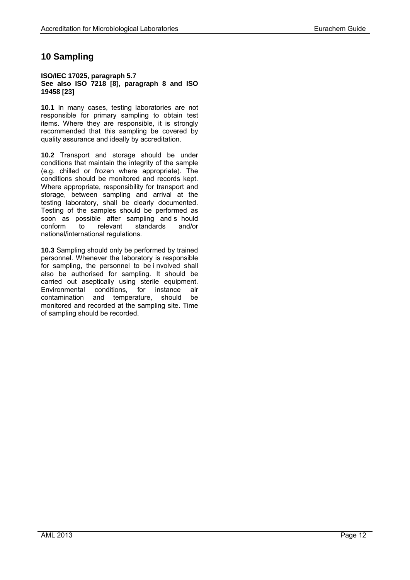# <span id="page-17-0"></span>**10 Sampling**

#### **ISO/IEC 17025, paragraph 5.7 See also ISO 7218 [8], paragraph 8 and ISO 19458 [23]**

**10.1** In many cases, testing laboratories are not responsible for primary sampling to obtain test items. Where they are responsible, it is strongly recommended that this sampling be covered by quality assurance and ideally by accreditation.

**10.2** Transport and storage should be under conditions that maintain the integrity of the sample (e.g. chilled or frozen where appropriate). The conditions should be monitored and records kept. Where appropriate, responsibility for transport and storage, between sampling and arrival at the testing laboratory, shall be clearly documented. Testing of the samples should be performed as soon as possible after sampling and s hould conform to relevant standards and/or national/international regulations.

**10.3** Sampling should only be performed by trained personnel. Whenever the laboratory is responsible for sampling, the personnel to be i nvolved shall also be authorised for sampling. It should be carried out aseptically using sterile equipment. Environmental conditions, for instance air contamination and temperature, should be monitored and recorded at the sampling site. Time of sampling should be recorded.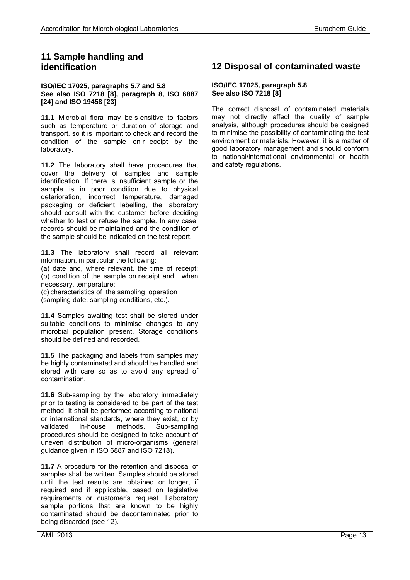## <span id="page-18-0"></span>**11 Sample handling and identification**

#### **ISO/IEC 17025, paragraphs 5.7 and 5.8 See also ISO 7218 [8], paragraph 8, ISO 6887 [24] and ISO 19458 [23]**

**11.1** Microbial flora may be s ensitive to factors such as temperature or duration of storage and transport, so it is important to check and record the condition of the sample on r eceipt by the laboratory.

**11.2** The laboratory shall have procedures that cover the delivery of samples and sample identification. If there is insufficient sample or the sample is in poor condition due to physical deterioration, incorrect temperature, damaged packaging or deficient labelling, the laboratory should consult with the customer before deciding whether to test or refuse the sample. In any case. records should be maintained and the condition of the sample should be indicated on the test report.

**11.3** The laboratory shall record all relevant information, in particular the following:

(a) date and, where relevant, the time of receipt; (b) condition of the sample on receipt and, when necessary, temperature;

(c) characteristics of the sampling operation (sampling date, sampling conditions, etc.).

**11.4** Samples awaiting test shall be stored under suitable conditions to minimise changes to any microbial population present. Storage conditions should be defined and recorded.

**11.5** The packaging and labels from samples may be highly contaminated and should be handled and stored with care so as to avoid any spread of contamination.

**11.6** Sub-sampling by the laboratory immediately prior to testing is considered to be part of the test method. It shall be performed according to national or international standards, where they exist, or by validated in-house methods. Sub-sampling procedures should be designed to take account of uneven distribution of micro-organisms (general guidance given in ISO 6887 and ISO 7218).

**11.7** A procedure for the retention and disposal of samples shall be written. Samples should be stored until the test results are obtained or longer, if required and if applicable, based on legislative requirements or customer's request. Laboratory sample portions that are known to be highly contaminated should be decontaminated prior to being discarded (see 12).

#### <span id="page-18-1"></span>**ISO/IEC 17025, paragraph 5.8 See also ISO 7218 [8]**

The correct disposal of contaminated materials may not directly affect the quality of sample analysis, although procedures should be designed to minimise the possibility of contaminating the test environment or materials. However, it is a matter of good laboratory management and should conform to national/international environmental or health and safety regulations.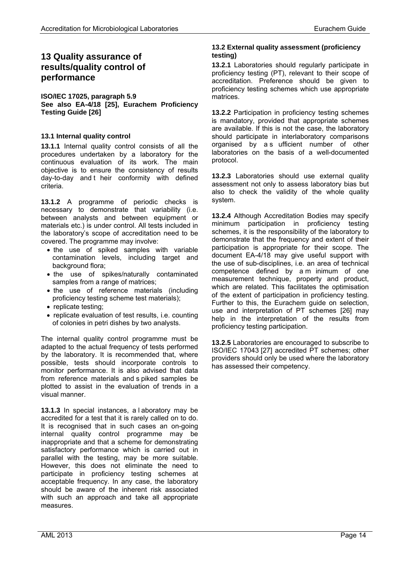# <span id="page-19-0"></span>**13 Quality assurance of results/quality control of performance**

**ISO/IEC 17025, paragraph 5.9 See also EA-4/18 [25], Eurachem Proficiency Testing Guide [26]**

#### <span id="page-19-1"></span>**13.1 Internal quality control**

**13.1.1** Internal quality control consists of all the procedures undertaken by a laboratory for the continuous evaluation of its work. The main objective is to ensure the consistency of results day-to-day and t heir conformity with defined criteria.

**13.1.2** A programme of periodic checks is necessary to demonstrate that variability (i.e. between analysts and between equipment or materials etc.) is under control. All tests included in the laboratory's scope of accreditation need to be covered. The programme may involve:

- the use of spiked samples with variable contamination levels, including target and background flora;
- the use of spikes/naturally contaminated samples from a range of matrices;
- the use of reference materials (including proficiency testing scheme test materials);
- replicate testing;
- replicate evaluation of test results, i.e. counting of colonies in petri dishes by two analysts.

The internal quality control programme must be adapted to the actual frequency of tests performed by the laboratory. It is recommended that, where possible, tests should incorporate controls to monitor performance. It is also advised that data from reference materials and s piked samples be plotted to assist in the evaluation of trends in a visual manner.

**13.1.3** In special instances, a l aboratory may be accredited for a test that it is rarely called on to do. It is recognised that in such cases an on-going internal quality control programme may be inappropriate and that a scheme for demonstrating satisfactory performance which is carried out in parallel with the testing, may be more suitable. However, this does not eliminate the need to participate in proficiency testing schemes at acceptable frequency. In any case, the laboratory should be aware of the inherent risk associated with such an approach and take all appropriate measures.

#### <span id="page-19-2"></span>**13.2 External quality assessment (proficiency testing)**

**13.2.1** Laboratories should regularly participate in proficiency testing (PT), relevant to their scope of accreditation. Preference should be given to proficiency testing schemes which use appropriate matrices.

**13.2.2** Participation in proficiency testing schemes is mandatory, provided that appropriate schemes are available. If this is not the case, the laboratory should participate in interlaboratory comparisons organised by a s ufficient number of other laboratories on the basis of a well-documented protocol.

**13.2.3** Laboratories should use external quality assessment not only to assess laboratory bias but also to check the validity of the whole quality system.

**13.2.4** Although Accreditation Bodies may specify minimum participation in proficiency testing schemes, it is the responsibility of the laboratory to demonstrate that the frequency and extent of their participation is appropriate for their scope. The document EA-4/18 may give useful support with the use of sub-disciplines, i.e. an area of technical competence defined by a m inimum of one measurement technique, property and product, which are related. This facilitates the optimisation of the extent of participation in proficiency testing. Further to this, the Eurachem guide on selection, use and interpretation of PT schemes [26] may help in the interpretation of the results from proficiency testing participation.

**13.2.5** Laboratories are encouraged to subscribe to ISO/IEC 17043 [27] accredited PT schemes; other providers should only be used where the laboratory has assessed their competency.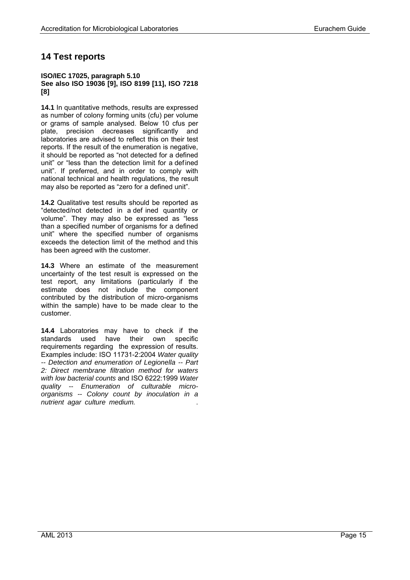# <span id="page-20-0"></span>**14 Test reports**

#### **ISO/IEC 17025, paragraph 5.10 See also ISO 19036 [9], ISO 8199 [11], ISO 7218 [8]**

**14.1** In quantitative methods, results are expressed as number of colony forming units (cfu) per volume or grams of sample analysed. Below 10 cfus per plate, precision decreases significantly and laboratories are advised to reflect this on their test reports. If the result of the enumeration is negative, it should be reported as "not detected for a defined unit" or "less than the detection limit for a defined unit". If preferred, and in order to comply with national technical and health regulations, the result may also be reported as "zero for a defined unit".

**14.2** Qualitative test results should be reported as "detected/not detected in a def ined quantity or volume". They may also be expressed as "less than a specified number of organisms for a defined unit" where the specified number of organisms exceeds the detection limit of the method and this has been agreed with the customer.

**14.3** Where an estimate of the measurement uncertainty of the test result is expressed on the test report, any limitations (particularly if the estimate does not include the component contributed by the distribution of micro-organisms within the sample) have to be made clear to the customer.

**14.4** Laboratories may have to check if the standards used have their own specific requirements regarding the expression of results. Examples include: ISO 11731-2:2004 *Water quality -- Detection and enumeration of Legionella -- Part 2: Direct membrane filtration method for waters with low bacterial counts* and ISO 6222:1999 *Water quality -- Enumeration of culturable microorganisms -- Colony count by inoculation in a nutrient agar culture medium.* .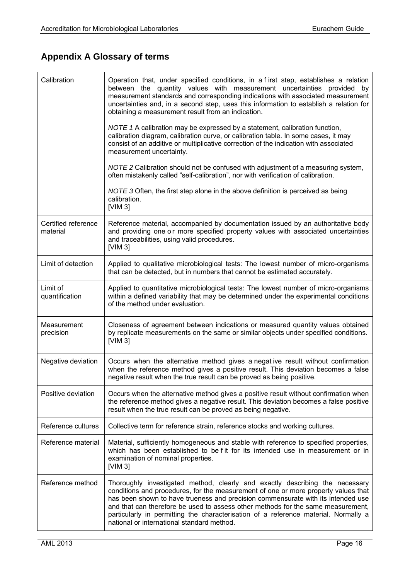# <span id="page-21-0"></span>**Appendix A Glossary of terms**

| Calibration                     | Operation that, under specified conditions, in a first step, establishes a relation<br>between the quantity values with measurement uncertainties provided by<br>measurement standards and corresponding indications with associated measurement<br>uncertainties and, in a second step, uses this information to establish a relation for<br>obtaining a measurement result from an indication.<br>NOTE 1 A calibration may be expressed by a statement, calibration function, |
|---------------------------------|---------------------------------------------------------------------------------------------------------------------------------------------------------------------------------------------------------------------------------------------------------------------------------------------------------------------------------------------------------------------------------------------------------------------------------------------------------------------------------|
|                                 | calibration diagram, calibration curve, or calibration table. In some cases, it may<br>consist of an additive or multiplicative correction of the indication with associated<br>measurement uncertainty.                                                                                                                                                                                                                                                                        |
|                                 | NOTE 2 Calibration should not be confused with adjustment of a measuring system,<br>often mistakenly called "self-calibration", nor with verification of calibration.                                                                                                                                                                                                                                                                                                           |
|                                 | NOTE 3 Often, the first step alone in the above definition is perceived as being<br>calibration.<br>[ $VIM 3$ ]                                                                                                                                                                                                                                                                                                                                                                 |
| Certified reference<br>material | Reference material, accompanied by documentation issued by an authoritative body<br>and providing one or more specified property values with associated uncertainties<br>and traceabilities, using valid procedures.<br>[VIM 3]                                                                                                                                                                                                                                                 |
| Limit of detection              | Applied to qualitative microbiological tests: The lowest number of micro-organisms<br>that can be detected, but in numbers that cannot be estimated accurately.                                                                                                                                                                                                                                                                                                                 |
| Limit of<br>quantification      | Applied to quantitative microbiological tests: The lowest number of micro-organisms<br>within a defined variability that may be determined under the experimental conditions<br>of the method under evaluation.                                                                                                                                                                                                                                                                 |
| Measurement<br>precision        | Closeness of agreement between indications or measured quantity values obtained<br>by replicate measurements on the same or similar objects under specified conditions.<br>[ $VIM 3$ ]                                                                                                                                                                                                                                                                                          |
| Negative deviation              | Occurs when the alternative method gives a negat ive result without confirmation<br>when the reference method gives a positive result. This deviation becomes a false<br>negative result when the true result can be proved as being positive.                                                                                                                                                                                                                                  |
| Positive deviation              | Occurs when the alternative method gives a positive result without confirmation when<br>the reference method gives a negative result. This deviation becomes a false positive<br>result when the true result can be proved as being negative.                                                                                                                                                                                                                                   |
| Reference cultures              | Collective term for reference strain, reference stocks and working cultures.                                                                                                                                                                                                                                                                                                                                                                                                    |
| Reference material              | Material, sufficiently homogeneous and stable with reference to specified properties,<br>which has been established to be fit for its intended use in measurement or in<br>examination of nominal properties.<br>[ $VIM 3$ ]                                                                                                                                                                                                                                                    |
| Reference method                | Thoroughly investigated method, clearly and exactly describing the necessary<br>conditions and procedures, for the measurement of one or more property values that<br>has been shown to have trueness and precision commensurate with its intended use<br>and that can therefore be used to assess other methods for the same measurement,<br>particularly in permitting the characterisation of a reference material. Normally a<br>national or international standard method. |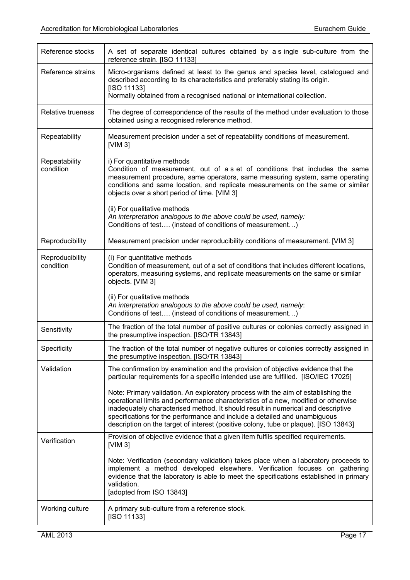| Reference stocks             | A set of separate identical cultures obtained by a single sub-culture from the<br>reference strain. [ISO 11133]                                                                                                                                                                                                                                                                                                                  |
|------------------------------|----------------------------------------------------------------------------------------------------------------------------------------------------------------------------------------------------------------------------------------------------------------------------------------------------------------------------------------------------------------------------------------------------------------------------------|
| Reference strains            | Micro-organisms defined at least to the genus and species level, catalogued and<br>described according to its characteristics and preferably stating its origin.<br>[ISO 11133]                                                                                                                                                                                                                                                  |
|                              | Normally obtained from a recognised national or international collection.                                                                                                                                                                                                                                                                                                                                                        |
| Relative trueness            | The degree of correspondence of the results of the method under evaluation to those<br>obtained using a recognised reference method.                                                                                                                                                                                                                                                                                             |
| Repeatability                | Measurement precision under a set of repeatability conditions of measurement.<br>[ $VIM 3$ ]                                                                                                                                                                                                                                                                                                                                     |
| Repeatability<br>condition   | i) For quantitative methods<br>Condition of measurement, out of a s et of conditions that includes the same<br>measurement procedure, same operators, same measuring system, same operating<br>conditions and same location, and replicate measurements on the same or similar<br>objects over a short period of time. [VIM 3]                                                                                                   |
|                              | (ii) For qualitative methods<br>An interpretation analogous to the above could be used, namely:<br>Conditions of test (instead of conditions of measurement)                                                                                                                                                                                                                                                                     |
| Reproducibility              | Measurement precision under reproducibility conditions of measurement. [VIM 3]                                                                                                                                                                                                                                                                                                                                                   |
| Reproducibility<br>condition | (i) For quantitative methods<br>Condition of measurement, out of a set of conditions that includes different locations,<br>operators, measuring systems, and replicate measurements on the same or similar<br>objects. [VIM 3]                                                                                                                                                                                                   |
|                              | (ii) For qualitative methods<br>An interpretation analogous to the above could be used, namely.<br>Conditions of test (instead of conditions of measurement)                                                                                                                                                                                                                                                                     |
| Sensitivity                  | The fraction of the total number of positive cultures or colonies correctly assigned in<br>the presumptive inspection. [ISO/TR 13843]                                                                                                                                                                                                                                                                                            |
| Specificity                  | The fraction of the total number of negative cultures or colonies correctly assigned in<br>the presumptive inspection. [ISO/TR 13843]                                                                                                                                                                                                                                                                                            |
| Validation                   | The confirmation by examination and the provision of objective evidence that the<br>particular requirements for a specific intended use are fulfilled. [ISO/IEC 17025]                                                                                                                                                                                                                                                           |
|                              | Note: Primary validation. An exploratory process with the aim of establishing the<br>operational limits and performance characteristics of a new, modified or otherwise<br>inadequately characterised method. It should result in numerical and descriptive<br>specifications for the performance and include a detailed and unambiguous<br>description on the target of interest (positive colony, tube or plaque). [ISO 13843] |
| Verification                 | Provision of objective evidence that a given item fulfils specified requirements.<br>[ $VIM 3$ ]                                                                                                                                                                                                                                                                                                                                 |
|                              | Note: Verification (secondary validation) takes place when a laboratory proceeds to<br>implement a method developed elsewhere. Verification focuses on gathering<br>evidence that the laboratory is able to meet the specifications established in primary<br>validation.<br>[adopted from ISO 13843]                                                                                                                            |
| Working culture              | A primary sub-culture from a reference stock.<br>[ISO 11133]                                                                                                                                                                                                                                                                                                                                                                     |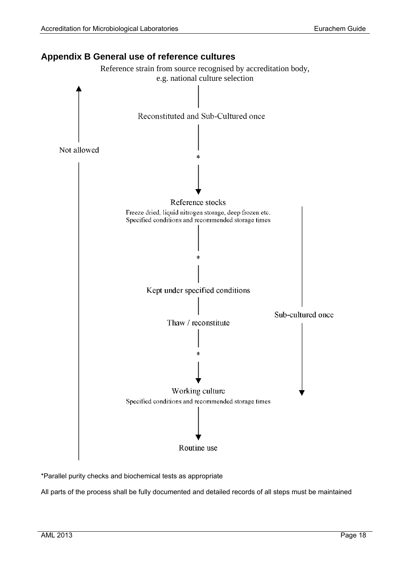<span id="page-23-0"></span>**Appendix B General use of reference cultures**

# Reference strain from source recognised by accreditation body, e.g. national culture selection Reconstituted and Sub-Cultured once Not allowed Reference stocks Freeze dried, liquid nitrogen storage, deep frozen etc. Specified conditions and recommended storage times Kept under specified conditions Sub-cultured once Thaw / reconstitute Working culture Specified conditions and recommended storage times Routine use

\*Parallel purity checks and biochemical tests as appropriate

All parts of the process shall be fully documented and detailed records of all steps must be maintained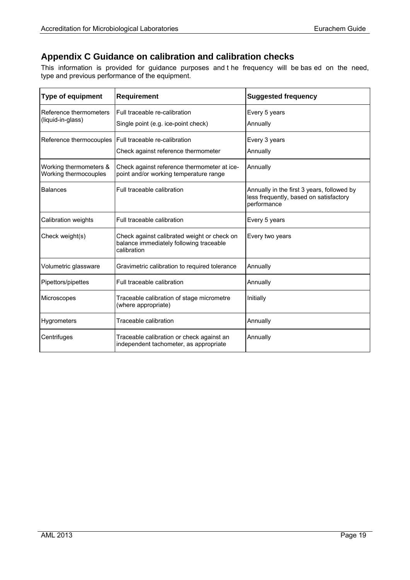# <span id="page-24-0"></span>**Appendix C Guidance on calibration and calibration checks**

This information is provided for guidance purposes and t he frequency will be bas ed on the need, type and previous performance of the equipment.

| <b>Type of equipment</b>                        | <b>Requirement</b>                                                                                    | <b>Suggested frequency</b>                                                                          |
|-------------------------------------------------|-------------------------------------------------------------------------------------------------------|-----------------------------------------------------------------------------------------------------|
| Reference thermometers<br>(liquid-in-glass)     | Full traceable re-calibration                                                                         | Every 5 years                                                                                       |
|                                                 | Single point (e.g. ice-point check)                                                                   | Annually                                                                                            |
| Reference thermocouples                         | Full traceable re-calibration                                                                         | Every 3 years                                                                                       |
|                                                 | Check against reference thermometer                                                                   | Annually                                                                                            |
| Working thermometers &<br>Working thermocouples | Check against reference thermometer at ice-<br>point and/or working temperature range                 | Annually                                                                                            |
| <b>Balances</b>                                 | Full traceable calibration                                                                            | Annually in the first 3 years, followed by<br>less frequently, based on satisfactory<br>performance |
| Calibration weights                             | Full traceable calibration                                                                            | Every 5 years                                                                                       |
| Check weight(s)                                 | Check against calibrated weight or check on<br>balance immediately following traceable<br>calibration | Every two years                                                                                     |
| Volumetric glassware                            | Gravimetric calibration to required tolerance                                                         | Annually                                                                                            |
| Pipettors/pipettes                              | Full traceable calibration                                                                            | Annually                                                                                            |
| Microscopes                                     | Traceable calibration of stage micrometre<br>(where appropriate)                                      | Initially                                                                                           |
| Hygrometers                                     | Traceable calibration                                                                                 | Annually                                                                                            |
| Centrifuges                                     | Traceable calibration or check against an<br>independent tachometer, as appropriate                   | Annually                                                                                            |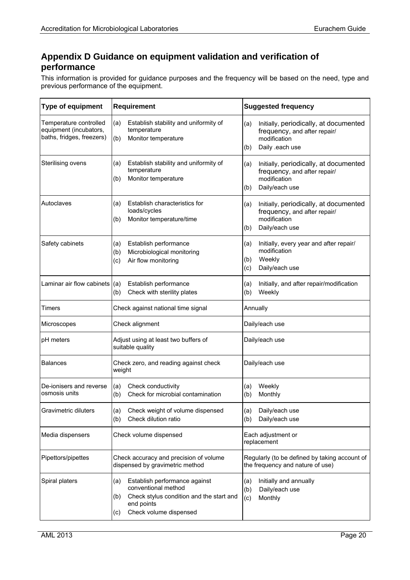# <span id="page-25-0"></span>**Appendix D Guidance on equipment validation and verification of performance**

This information is provided for guidance purposes and the frequency will be based on the need, type and previous performance of the equipment.

| <b>Type of equipment</b>                                                      | <b>Requirement</b>                                                                                                                                            | <b>Suggested frequency</b>                                                                                              |
|-------------------------------------------------------------------------------|---------------------------------------------------------------------------------------------------------------------------------------------------------------|-------------------------------------------------------------------------------------------------------------------------|
| Temperature controlled<br>equipment (incubators,<br>baths, fridges, freezers) | Establish stability and uniformity of<br>(a)<br>temperature<br>(b)<br>Monitor temperature                                                                     | Initially, periodically, at documented<br>(a)<br>frequency, and after repair/<br>modification<br>Daily .each use<br>(b) |
| Sterilising ovens                                                             | Establish stability and uniformity of<br>(a)<br>temperature<br>Monitor temperature<br>(b)                                                                     | Initially, periodically, at documented<br>(a)<br>frequency, and after repair/<br>modification<br>Daily/each use<br>(b)  |
| Autoclaves                                                                    | Establish characteristics for<br>(a)<br>loads/cycles<br>Monitor temperature/time<br>(b)                                                                       | Initially, periodically, at documented<br>(a)<br>frequency, and after repair/<br>modification<br>Daily/each use<br>(b)  |
| Safety cabinets                                                               | Establish performance<br>(a)<br>Microbiological monitoring<br>(b)<br>Air flow monitoring<br>(c)                                                               | Initially, every year and after repair/<br>(a)<br>modification<br>Weekly<br>(b)<br>Daily/each use<br>(c)                |
| Laminar air flow cabinets $ (a)$                                              | Establish performance<br>Check with sterility plates<br>(b)                                                                                                   | Initially, and after repair/modification<br>(a)<br>Weekly<br>(b)                                                        |
| Timers                                                                        | Check against national time signal                                                                                                                            | Annually                                                                                                                |
| Microscopes                                                                   | Check alignment                                                                                                                                               | Daily/each use                                                                                                          |
| pH meters                                                                     | Adjust using at least two buffers of<br>suitable quality                                                                                                      | Daily/each use                                                                                                          |
| <b>Balances</b>                                                               | Check zero, and reading against check<br>weight                                                                                                               | Daily/each use                                                                                                          |
| De-ionisers and reverse<br>osmosis units                                      | Check conductivity<br>(a)<br>Check for microbial contamination<br>(b)                                                                                         | Weekly<br>(a)<br>Monthly<br>(b)                                                                                         |
| Gravimetric diluters                                                          | Check weight of volume dispensed<br>(a)<br>Check dilution ratio<br>(b)                                                                                        | Daily/each use<br>(a)<br>Daily/each use<br>(b)                                                                          |
| Media dispensers                                                              | Check volume dispensed                                                                                                                                        | Each adjustment or<br>replacement                                                                                       |
| Pipettors/pipettes                                                            | Check accuracy and precision of volume<br>dispensed by gravimetric method                                                                                     | Regularly (to be defined by taking account of<br>the frequency and nature of use)                                       |
| Spiral platers                                                                | Establish performance against<br>(a)<br>conventional method<br>Check stylus condition and the start and<br>(b)<br>end points<br>Check volume dispensed<br>(c) | Initially and annually<br>(a)<br>(b)<br>Daily/each use<br>(c)<br>Monthly                                                |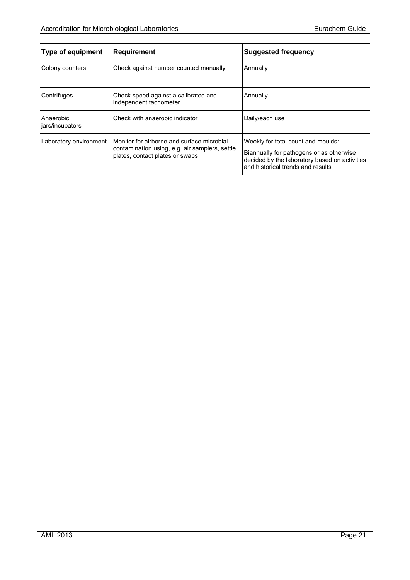| <b>Type of equipment</b>     | <b>Requirement</b>                                                                                                              | <b>Suggested frequency</b>                                                                                                                                           |
|------------------------------|---------------------------------------------------------------------------------------------------------------------------------|----------------------------------------------------------------------------------------------------------------------------------------------------------------------|
| Colony counters              | Check against number counted manually                                                                                           | Annually                                                                                                                                                             |
| Centrifuges                  | Check speed against a calibrated and<br>independent tachometer                                                                  | Annually                                                                                                                                                             |
| Anaerobic<br>jars/incubators | Check with anaerobic indicator                                                                                                  | Daily/each use                                                                                                                                                       |
| Laboratory environment       | Monitor for airborne and surface microbial<br>contamination using, e.g. air samplers, settle<br>plates, contact plates or swabs | Weekly for total count and moulds:<br>Biannually for pathogens or as otherwise<br>decided by the laboratory based on activities<br>and historical trends and results |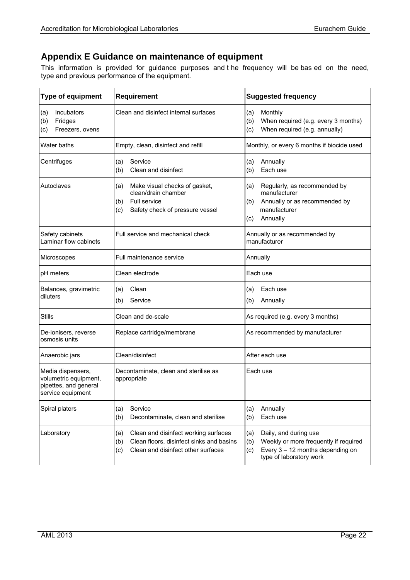# <span id="page-27-0"></span>**Appendix E Guidance on maintenance of equipment**

This information is provided for guidance purposes and t he frequency will be bas ed on the need, type and previous performance of the equipment.

| <b>Type of equipment</b>                                                                 | <b>Requirement</b>                                                                                                                          | <b>Suggested frequency</b>                                                                                                                           |
|------------------------------------------------------------------------------------------|---------------------------------------------------------------------------------------------------------------------------------------------|------------------------------------------------------------------------------------------------------------------------------------------------------|
| Incubators<br>(a)<br>Fridges<br>(b)<br>Freezers, ovens<br>(c)                            | Clean and disinfect internal surfaces                                                                                                       | Monthly<br>(a)<br>(b)<br>When required (e.g. every 3 months)<br>When required (e.g. annually)<br>(c)                                                 |
| Water baths                                                                              | Empty, clean, disinfect and refill                                                                                                          | Monthly, or every 6 months if biocide used                                                                                                           |
| Centrifuges                                                                              | Service<br>(a)<br>(b)<br>Clean and disinfect                                                                                                | Annually<br>(a)<br>Each use<br>(b)                                                                                                                   |
| Autoclaves                                                                               | Make visual checks of gasket,<br>(a)<br>clean/drain chamber<br>Full service<br>(b)<br>(c)<br>Safety check of pressure vessel                | Regularly, as recommended by<br>(a)<br>manufacturer<br>Annually or as recommended by<br>(b)<br>manufacturer<br>Annually<br>(c)                       |
| Safety cabinets<br>Laminar flow cabinets                                                 | Full service and mechanical check                                                                                                           | Annually or as recommended by<br>manufacturer                                                                                                        |
| Microscopes                                                                              | Full maintenance service                                                                                                                    | Annually                                                                                                                                             |
| pH meters                                                                                | Clean electrode                                                                                                                             | Each use                                                                                                                                             |
| Balances, gravimetric<br>diluters                                                        | Clean<br>(a)<br>Service<br>(b)                                                                                                              | Each use<br>(a)<br>Annually<br>(b)                                                                                                                   |
| <b>Stills</b>                                                                            | Clean and de-scale                                                                                                                          | As required (e.g. every 3 months)                                                                                                                    |
| De-ionisers, reverse<br>osmosis units                                                    | Replace cartridge/membrane                                                                                                                  | As recommended by manufacturer                                                                                                                       |
| Anaerobic jars                                                                           | Clean/disinfect                                                                                                                             | After each use                                                                                                                                       |
| Media dispensers,<br>volumetric equipment,<br>pipettes, and general<br>service equipment | Decontaminate, clean and sterilise as<br>appropriate                                                                                        | Each use                                                                                                                                             |
| Spiral platers                                                                           | Service<br>(a)<br>(b)<br>Decontaminate, clean and sterilise                                                                                 | Annually<br>(a)<br>Each use<br>(b)                                                                                                                   |
| Laboratory                                                                               | Clean and disinfect working surfaces<br>(a)<br>Clean floors, disinfect sinks and basins<br>(b)<br>Clean and disinfect other surfaces<br>(c) | Daily, and during use<br>(a)<br>Weekly or more frequently if required<br>(b)<br>Every $3 - 12$ months depending on<br>(c)<br>type of laboratory work |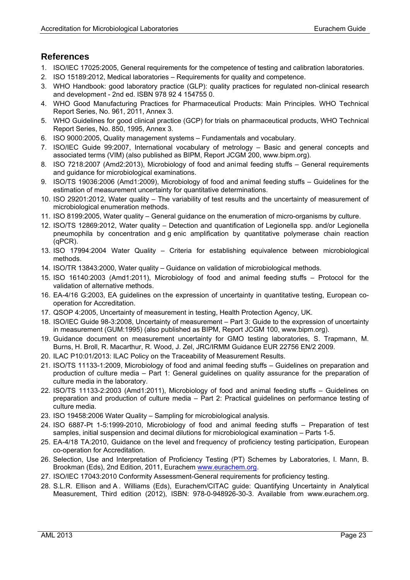# <span id="page-28-0"></span>**References**

- 1. ISO/IEC 17025:2005, General requirements for the competence of testing and calibration laboratories.
- 2. ISO 15189:2012, Medical laboratories Requirements for quality and competence.
- 3. WHO Handbook: good laboratory practice (GLP): quality practices for regulated non-clinical research and development - 2nd ed. ISBN 978 92 4 154755 0.
- 4. [WHO Good Manufacturing Practices for Pharmaceutical Products: Main Principles. WHO Technical](http://apps.who.int/medicinedocs/en/d/Js18679en/)  [Report Series, No. 961, 2011, Annex 3.](http://apps.who.int/medicinedocs/en/d/Js18679en/)
- 5. WHO Guidelines for good clinical practice (GCP) for trials on pharmaceutical products, WHO Technical Report Series, No. 850, 1995, Annex 3.
- 6. ISO 9000:2005, Quality management systems Fundamentals and vocabulary.
- 7. ISO/IEC Guide 99:2007, International vocabulary of metrology Basic and general concepts and associated terms (VIM) (also published as BIPM, Report JCGM 200, www.bipm.org).
- <span id="page-28-1"></span>8. ISO 7218:2007 (Amd2:2013), Microbiology of food and animal feeding stuffs – General requirements and guidance for microbiological examinations.
- 9. ISO/TS 19036:2006 (Amd1:2009), Microbiology of food and animal feeding stuffs Guidelines for the estimation of measurement uncertainty for quantitative determinations.
- 10. ISO 29201:2012, Water quality The variability of test results and the uncertainty of measurement of microbiological enumeration methods.
- 11. ISO 8199:2005, Water quality General guidance on the enumeration of micro-organisms by culture.
- 12. ISO/TS 12869:2012, Water quality Detection and quantification of Legionella spp. and/or Legionella pneumophila by concentration and g enic amplification by quantitative polymerase chain reaction (qPCR).
- 13. ISO 17994:2004 Water Quality Criteria for establishing equivalence between microbiological methods.
- 14. ISO/TR 13843:2000, Water quality Guidance on validation of microbiological methods.
- 15. ISO 16140:2003 (Amd1:2011), Microbiology of food and animal feeding stuffs Protocol for the validation of alternative methods.
- 16. EA-4/16 G:2003, EA guidelines on the expression of uncertainty in quantitative testing, European cooperation for Accreditation.
- 17. QSOP 4:2005, Uncertainty of measurement in testing, Health Protection Agency, UK.
- 18. ISO/IEC Guide 98-3:2008, Uncertainty of measurement Part 3: Guide to the expression of uncertainty in measurement (GUM:1995) (also published as BIPM, Report JCGM 100, www.bipm.org).
- 19. Guidance document on measurement uncertainty for GMO testing laboratories, S. Trapmann, M. Burns, H. Broll, R. Macarthur, R. Wood, J. Zel, JRC/IRMM Guidance EUR 22756 EN/2 2009.
- 20. ILAC P10:01/2013: ILAC Policy on the Traceability of Measurement Results.
- 21. ISO/TS 11133-1:2009, Microbiology of food and animal feeding stuffs Guidelines on preparation and production of culture media – Part 1: General guidelines on quality assurance for the preparation of culture media in the laboratory.
- 22. ISO/TS 11133-2:2003 (Amd1:2011), Microbiology of food and animal feeding stuffs Guidelines on preparation and production of culture media – Part 2: Practical guidelines on performance testing of culture media.
- 23. ISO 19458:2006 Water Quality Sampling for microbiological analysis.
- 24. ISO 6887-Pt 1-5:1999-2010, Microbiology of food and animal feeding stuffs Preparation of test samples, initial suspension and decimal dilutions for microbiological examination – Parts 1-5.
- 25. EA-4/18 TA:2010, Guidance on the level and frequency of proficiency testing participation, European co-operation for Accreditation.
- 26. Selection, Use and Interpretation of Proficiency Testing (PT) Schemes by Laboratories, I. Mann, B. Brookman (Eds), 2nd Edition, 2011, Eurachem [www.eurachem.org.](http://www.eurachem.org/)
- 27. ISO/IEC 17043:2010 Conformity Assessment-General requirements for proficiency testing.
- <span id="page-28-2"></span>28. S.L.R. Ellison and A . Williams (Eds), Eurachem/CITAC guide: Quantifying Uncertainty in Analytical Measurement, Third edition (2012), ISBN: 978-0-948926-30-3. Available from www.eurachem.org.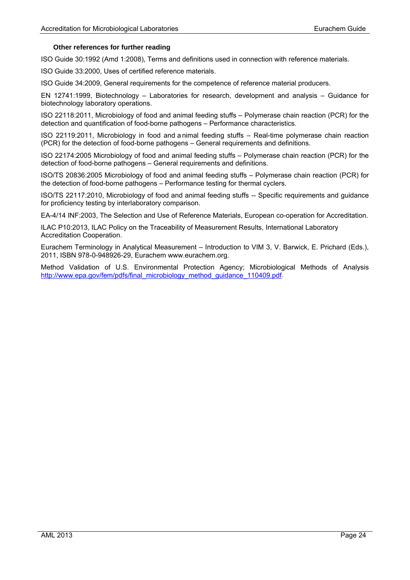#### **Other references for further reading**

ISO Guide 30:1992 (Amd 1:2008), Terms and definitions used in connection with reference materials.

ISO Guide 33:2000, Uses of certified reference materials.

ISO Guide 34:2009, General requirements for the competence of reference material producers.

EN 12741:1999, Biotechnology – Laboratories for research, development and analysis – Guidance for biotechnology laboratory operations.

ISO 22118:2011, Microbiology of food and animal feeding stuffs – Polymerase chain reaction (PCR) for the detection and quantification of food-borne pathogens – Performance characteristics.

ISO 22119:2011, Microbiology in food and a nimal feeding stuffs – Real-time polymerase chain reaction (PCR) for the detection of food-borne pathogens – General requirements and definitions.

ISO 22174:2005 Microbiology of food and animal feeding stuffs – Polymerase chain reaction (PCR) for the detection of food-borne pathogens – General requirements and definitions.

ISO/TS 20836:2005 Microbiology of food and animal feeding stuffs – Polymerase chain reaction (PCR) for the detection of food-borne pathogens – Performance testing for thermal cyclers.

ISO/TS 22117:2010, Microbiology of food and animal feeding stuffs -- Specific requirements and guidance for proficiency testing by interlaboratory comparison.

EA-4/14 INF:2003, The Selection and Use of Reference Materials, European co-operation for Accreditation.

ILAC P10:2013, ILAC Policy on the Traceability of Measurement Results, International Laboratory Accreditation Cooperation.

Eurachem Terminology in Analytical Measurement – Introduction to VIM 3, V. Barwick, E. Prichard (Eds.), 2011, ISBN 978-0-948926-29, Eurachem www.eurachem.org.

Method Validation of U.S. Environmental Protection Agency; Microbiological Methods of Analysis [http://www.epa.gov/fem/pdfs/final\\_microbiology\\_method\\_guidance\\_110409.pdf.](http://www.epa.gov/fem/pdfs/final_microbiology_method_guidance_110409.pdf)